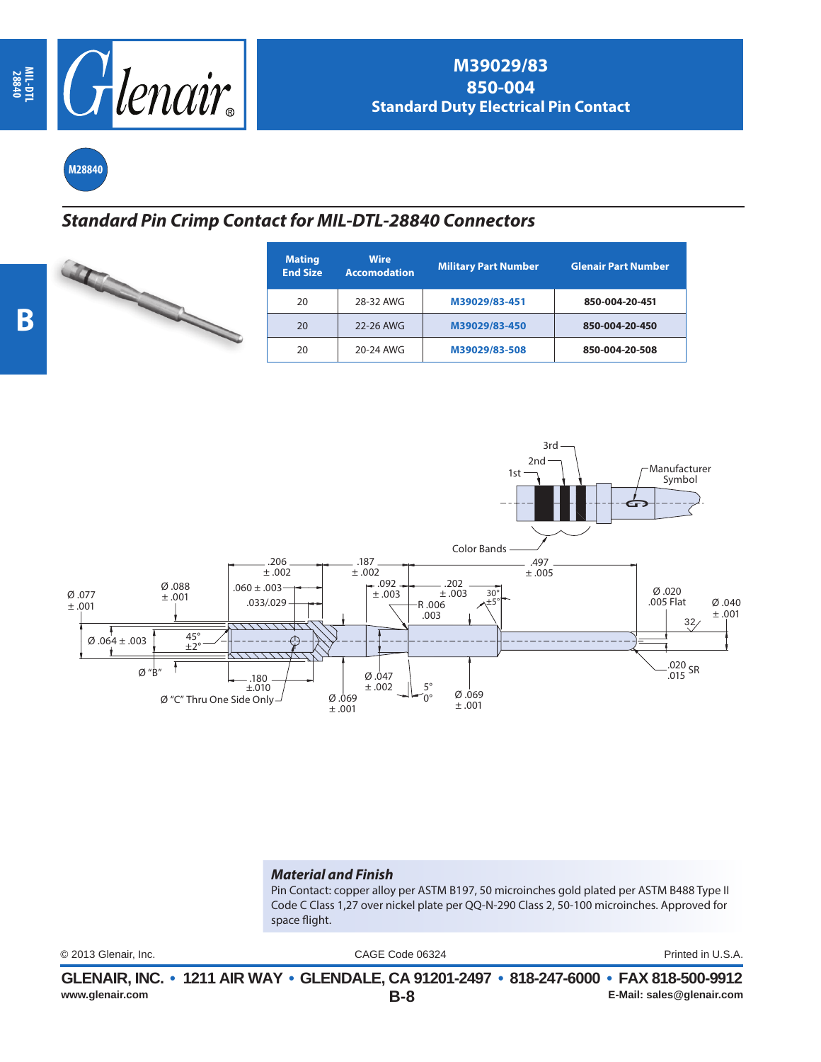

**M28840**

## *Standard Pin Crimp Contact for MIL-DTL-28840 Connectors*

| <b>Mating</b><br><b>End Size</b> |
|----------------------------------|
| 20                               |
| 20                               |
| 20                               |

| <b>Mating</b><br><b>End Size</b> | <b>Wire</b><br><b>Accomodation</b> | <b>Military Part Number</b> | <b>Glenair Part Number</b> |
|----------------------------------|------------------------------------|-----------------------------|----------------------------|
| 20                               | 28-32 AWG                          | M39029/83-451               | 850-004-20-451             |
| 20                               | 22-26 AWG                          | M39029/83-450               | 850-004-20-450             |
| 20                               | 20-24 AWG                          | M39029/83-508               | 850-004-20-508             |



## *Material and Finish*

Pin Contact: copper alloy per ASTM B197, 50 microinches gold plated per ASTM B488 Type II Code C Class 1,27 over nickel plate per QQ-N-290 Class 2, 50-100 microinches. Approved for space flight.

CAGE Code 06324 © 2013 Glenair, Inc. Printed in U.S.A.